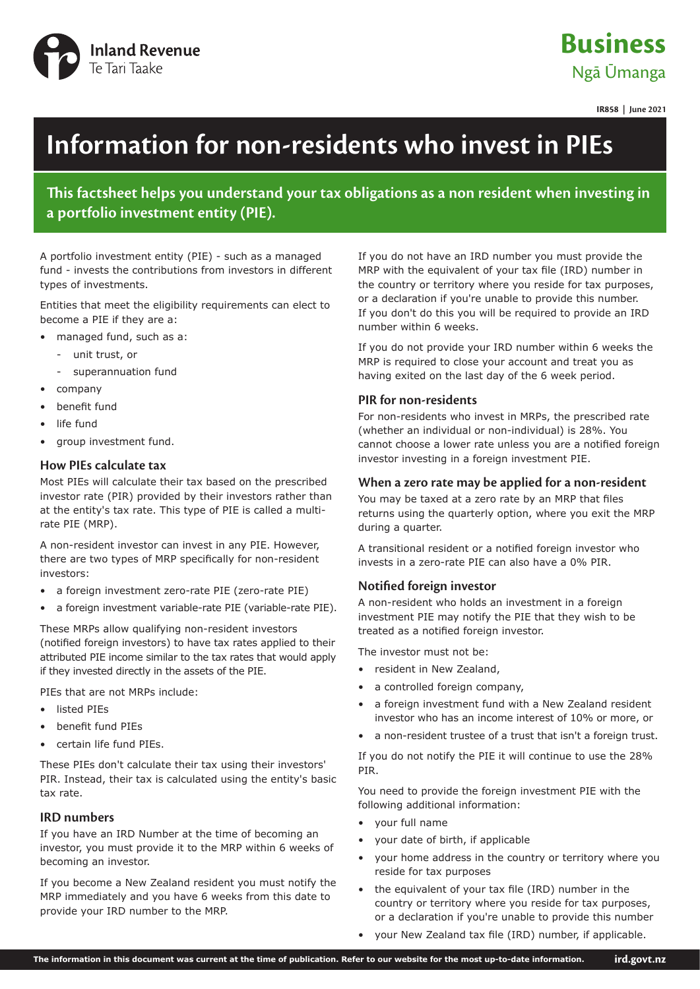

## **Business** Ngā Ūmanga

**IR858 | June 2021**

# **Information for non-residents who invest in PIEs**

**This factsheet helps you understand your tax obligations as a non resident when investing in a portfolio investment entity (PIE).**

A portfolio investment entity (PIE) - such as a managed fund - invests the contributions from investors in different types of investments.

Entities that meet the eligibility requirements can elect to become a PIE if they are a:

- managed fund, such as a:
	- unit trust, or
	- superannuation fund
- company
- benefit fund
- life fund
- group investment fund.

#### **How PIEs calculate tax**

Most PIEs will calculate their tax based on the prescribed investor rate (PIR) provided by their investors rather than at the entity's tax rate. This type of PIE is called a multirate PIE (MRP).

A non-resident investor can invest in any PIE. However, there are two types of MRP specifically for non-resident investors:

- a foreign investment zero-rate PIE (zero-rate PIE)
- a foreign investment variable-rate PIE (variable-rate PIE).

These MRPs allow qualifying non-resident investors (notified foreign investors) to have tax rates applied to their attributed PIE income similar to the tax rates that would apply if they invested directly in the assets of the PIE.

PIEs that are not MRPs include:

- listed PIEs
- benefit fund PIFs
- certain life fund PIEs.

These PIEs don't calculate their tax using their investors' PIR. Instead, their tax is calculated using the entity's basic tax rate.

#### **IRD numbers**

If you have an IRD Number at the time of becoming an investor, you must provide it to the MRP within 6 weeks of becoming an investor.

If you become a New Zealand resident you must notify the MRP immediately and you have 6 weeks from this date to provide your IRD number to the MRP.

If you do not have an IRD number you must provide the MRP with the equivalent of your tax file (IRD) number in the country or territory where you reside for tax purposes, or a declaration if you're unable to provide this number. If you don't do this you will be required to provide an IRD number within 6 weeks.

If you do not provide your IRD number within 6 weeks the MRP is required to close your account and treat you as having exited on the last day of the 6 week period.

#### **PIR for non-residents**

For non-residents who invest in MRPs, the prescribed rate (whether an individual or non-individual) is 28%. You cannot choose a lower rate unless you are a notified foreign investor investing in a foreign investment PIE.

#### **When a zero rate may be applied for a non-resident**

You may be taxed at a zero rate by an MRP that files returns using the quarterly option, where you exit the MRP during a quarter.

A transitional resident or a notified foreign investor who invests in a zero-rate PIE can also have a 0% PIR.

#### **Notified foreign investor**

A non-resident who holds an investment in a foreign investment PIE may notify the PIE that they wish to be treated as a notified foreign investor.

The investor must not be:

- resident in New Zealand,
- a controlled foreign company,
- a foreign investment fund with a New Zealand resident investor who has an income interest of 10% or more, or
- a non-resident trustee of a trust that isn't a foreign trust.

If you do not notify the PIE it will continue to use the 28% PIR.

You need to provide the foreign investment PIE with the following additional information:

- your full name
- your date of birth, if applicable
- your home address in the country or territory where you reside for tax purposes
- the equivalent of your tax file (IRD) number in the country or territory where you reside for tax purposes, or a declaration if you're unable to provide this number
- your New Zealand tax file (IRD) number, if applicable.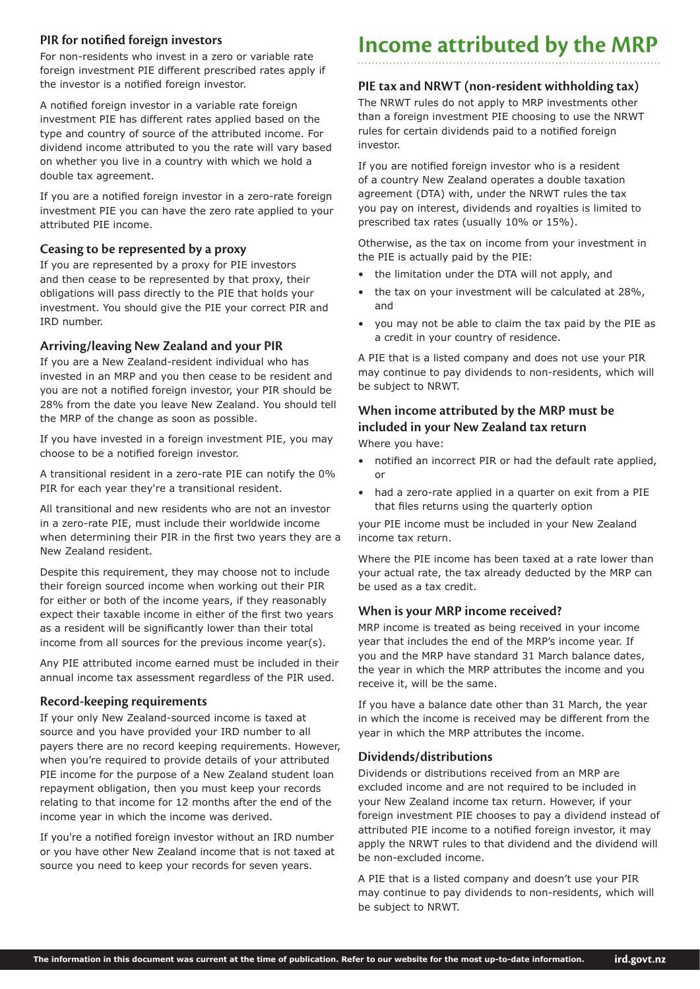#### **PIR for notified foreign investors**

For non-residents who invest in a zero or variable rate foreign investment PIE different prescribed rates apply if the investor is a notified foreign investor.

A notified foreign investor in a variable rate foreign investment PIE has different rates applied based on the type and country of source of the attributed income. For dividend income attributed to you the rate will vary based on whether you live in a country with which we hold a double tax agreement.

If you are a notified foreign investor in a zero-rate foreign investment PIE you can have the zero rate applied to your attributed PIE income.

#### **Ceasing to be represented by a proxy**

If you are represented by a proxy for PIE investors and then cease to be represented by that proxy, their obligations will pass directly to the PIE that holds your investment. You should give the PIE your correct PIR and IRD number.

#### **Arriving/leaving New Zealand and your PIR**

If you are a New Zealand-resident individual who has invested in an MRP and you then cease to be resident and you are not a notified foreign investor, your PIR should be 28% from the date you leave New Zealand. You should tell the MRP of the change as soon as possible.

If you have invested in a foreign investment PIE, you may choose to be a notified foreign investor.

A transitional resident in a zero-rate PIE can notify the 0% PIR for each year they're a transitional resident.

All transitional and new residents who are not an investor in a zero-rate PIE, must include their worldwide income when determining their PIR in the first two years they are a New Zealand resident.

Despite this requirement, they may choose not to include their foreign sourced income when working out their PIR for either or both of the income years, if they reasonably expect their taxable income in either of the first two years as a resident will be significantly lower than their total income from all sources for the previous income year(s).

Any PIE attributed income earned must be included in their annual income tax assessment regardless of the PIR used.

#### **Record-keeping requirements**

If your only New Zealand-sourced income is taxed at source and you have provided your IRD number to all payers there are no record keeping requirements. However, when you're required to provide details of your attributed PIE income for the purpose of a New Zealand student loan repayment obligation, then you must keep your records relating to that income for 12 months after the end of the income year in which the income was derived.

If you're a notified foreign investor without an IRD number or you have other New Zealand income that is not taxed at source you need to keep your records for seven years.

## **Income attributed by the MRP**

#### **PIE tax and NRWT (non-resident withholding tax)**

The NRWT rules do not apply to MRP investments other than a foreign investment PIE choosing to use the NRWT rules for certain dividends paid to a notified foreign investor.

If you are notified foreign investor who is a resident of a country New Zealand operates a double taxation agreement (DTA) with, under the NRWT rules the tax you pay on interest, dividends and royalties is limited to prescribed tax rates (usually 10% or 15%).

Otherwise, as the tax on income from your investment in the PIE is actually paid by the PIE:

- the limitation under the DTA will not apply, and
- the tax on your investment will be calculated at 28%, and
- you may not be able to claim the tax paid by the PIE as a credit in your country of residence.

A PIE that is a listed company and does not use your PIR may continue to pay dividends to non-residents, which will be subject to NRWT.

### **When income attributed by the MRP must be included in your New Zealand tax return**

Where you have:

- notified an incorrect PIR or had the default rate applied, or
- had a zero-rate applied in a quarter on exit from a PIE that files returns using the quarterly option

your PIE income must be included in your New Zealand income tax return.

Where the PIE income has been taxed at a rate lower than your actual rate, the tax already deducted by the MRP can be used as a tax credit.

#### **When is your MRP income received?**

MRP income is treated as being received in your income year that includes the end of the MRP's income year. If you and the MRP have standard 31 March balance dates, the year in which the MRP attributes the income and you receive it, will be the same.

If you have a balance date other than 31 March, the year in which the income is received may be different from the year in which the MRP attributes the income.

#### **Dividends/distributions**

Dividends or distributions received from an MRP are excluded income and are not required to be included in your New Zealand income tax return. However, if your foreign investment PIE chooses to pay a dividend instead of attributed PIE income to a notified foreign investor, it may apply the NRWT rules to that dividend and the dividend will be non-excluded income.

A PIE that is a listed company and doesn't use your PIR may continue to pay dividends to non-residents, which will be subject to NRWT.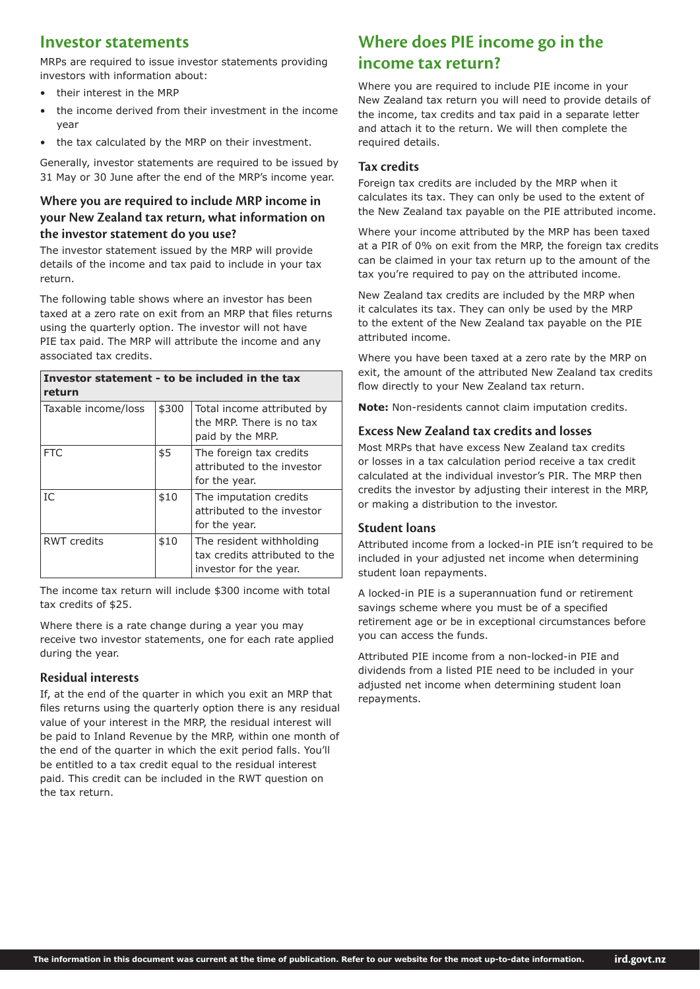### **Investor statements**

MRPs are required to issue investor statements providing investors with information about:

- their interest in the MRP
- the income derived from their investment in the income year
- the tax calculated by the MRP on their investment.

Generally, investor statements are required to be issued by 31 May or 30 June after the end of the MRP's income year.

#### **Where you are required to include MRP income in your New Zealand tax return, what information on the investor statement do you use?**

The investor statement issued by the MRP will provide details of the income and tax paid to include in your tax return.

The following table shows where an investor has been taxed at a zero rate on exit from an MRP that files returns using the quarterly option. The investor will not have PIE tax paid. The MRP will attribute the income and any associated tax credits.

#### **Investor statement - to be included in the tax return**

| Taxable income/loss | \$300 | Total income attributed by<br>the MRP. There is no tax<br>paid by the MRP.          |
|---------------------|-------|-------------------------------------------------------------------------------------|
| <b>FTC</b>          | \$5   | The foreign tax credits<br>attributed to the investor<br>for the year.              |
| IC                  | \$10  | The imputation credits<br>attributed to the investor<br>for the year.               |
| <b>RWT</b> credits  | \$10  | The resident withholding<br>tax credits attributed to the<br>investor for the year. |

The income tax return will include \$300 income with total tax credits of \$25.

Where there is a rate change during a year you may receive two investor statements, one for each rate applied during the year.

#### **Residual interests**

If, at the end of the quarter in which you exit an MRP that files returns using the quarterly option there is any residual value of your interest in the MRP, the residual interest will be paid to Inland Revenue by the MRP, within one month of the end of the quarter in which the exit period falls. You'll be entitled to a tax credit equal to the residual interest paid. This credit can be included in the RWT question on the tax return.

## **Where does PIE income go in the income tax return?**

Where you are required to include PIE income in your New Zealand tax return you will need to provide details of the income, tax credits and tax paid in a separate letter and attach it to the return. We will then complete the required details.

#### **Tax credits**

Foreign tax credits are included by the MRP when it calculates its tax. They can only be used to the extent of the New Zealand tax payable on the PIE attributed income.

Where your income attributed by the MRP has been taxed at a PIR of 0% on exit from the MRP, the foreign tax credits can be claimed in your tax return up to the amount of the tax you're required to pay on the attributed income.

New Zealand tax credits are included by the MRP when it calculates its tax. They can only be used by the MRP to the extent of the New Zealand tax payable on the PIE attributed income.

Where you have been taxed at a zero rate by the MRP on exit, the amount of the attributed New Zealand tax credits flow directly to your New Zealand tax return.

**Note:** Non-residents cannot claim imputation credits.

#### **Excess New Zealand tax credits and losses**

Most MRPs that have excess New Zealand tax credits or losses in a tax calculation period receive a tax credit calculated at the individual investor's PIR. The MRP then credits the investor by adjusting their interest in the MRP, or making a distribution to the investor.

#### **Student loans**

Attributed income from a locked-in PIE isn't required to be included in your adjusted net income when determining student loan repayments.

A locked-in PIE is a superannuation fund or retirement savings scheme where you must be of a specified retirement age or be in exceptional circumstances before you can access the funds.

Attributed PIE income from a non-locked-in PIE and dividends from a listed PIE need to be included in your adjusted net income when determining student loan repayments.